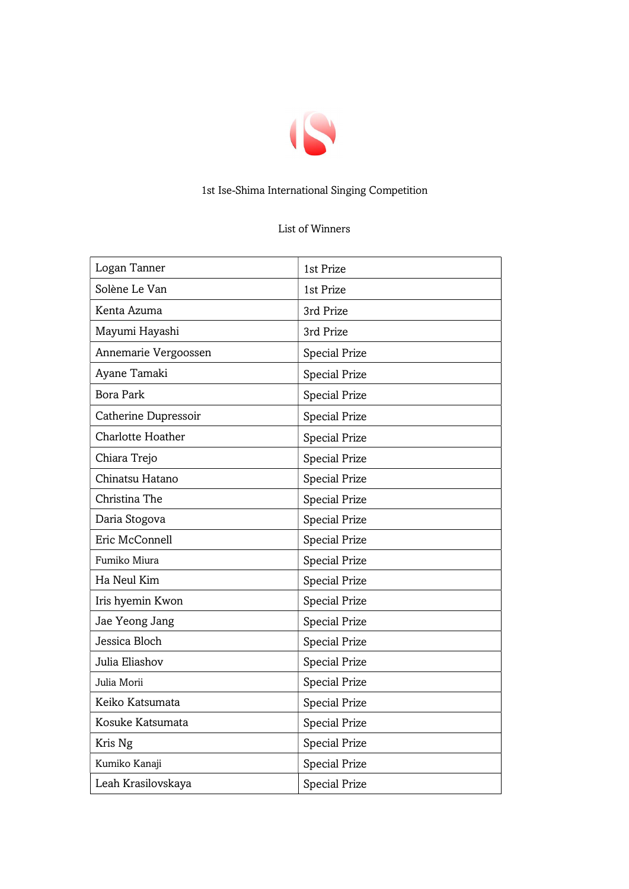

## 1st Ise-Shima International Singing Competition

## List of Winners

| Logan Tanner             | 1st Prize            |
|--------------------------|----------------------|
| Solène Le Van            | 1st Prize            |
| Kenta Azuma              | 3rd Prize            |
| Mayumi Hayashi           | 3rd Prize            |
| Annemarie Vergoossen     | <b>Special Prize</b> |
| Ayane Tamaki             | <b>Special Prize</b> |
| <b>Bora Park</b>         | <b>Special Prize</b> |
| Catherine Dupressoir     | Special Prize        |
| <b>Charlotte Hoather</b> | <b>Special Prize</b> |
| Chiara Trejo             | <b>Special Prize</b> |
| Chinatsu Hatano          | Special Prize        |
| Christina The            | <b>Special Prize</b> |
| Daria Stogova            | <b>Special Prize</b> |
| Eric McConnell           | <b>Special Prize</b> |
| Fumiko Miura             | <b>Special Prize</b> |
| Ha Neul Kim              | Special Prize        |
| Iris hyemin Kwon         | Special Prize        |
| Jae Yeong Jang           | <b>Special Prize</b> |
| Jessica Bloch            | <b>Special Prize</b> |
| Julia Eliashov           | <b>Special Prize</b> |
| Julia Morii              | <b>Special Prize</b> |
| Keiko Katsumata          | <b>Special Prize</b> |
| Kosuke Katsumata         | Special Prize        |
| Kris Ng                  | Special Prize        |
| Kumiko Kanaji            | Special Prize        |
| Leah Krasilovskaya       | <b>Special Prize</b> |